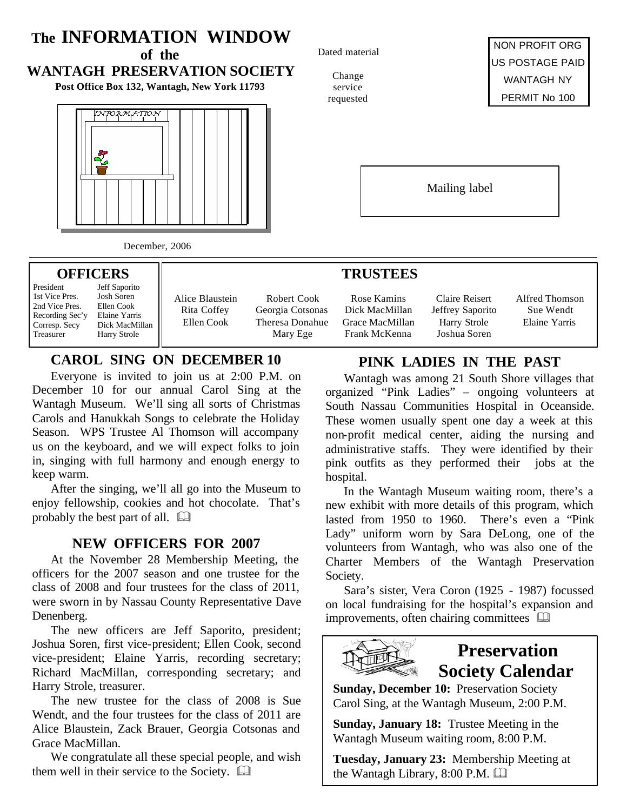# **The INFORMATION WINDOW** Dated material **of the WANTAGH PRESERVATION SOCIETY** Change **Post Office Box 132, Wantagh, New York 11793** service requested information Mailing label December, 2006

#### **OFFICERS**

President Jeff Saporito<br>1st Vice Pres. Josh Soren 1st Vice Pres. Josh Soren<br>2nd Vice Pres. Ellen Cook 2nd Vice Pres. Recording Sec'y Elaine Yarris Corresp. Secy Dick MacMillan Treasurer Harry Strole

Alice Blaustein Rita Coffey Ellen Cook

Robert Cook Georgia Cotsonas Theresa Donahue Mary Ege

### **CAROL SING ON DECEMBER 10**

Everyone is invited to join us at 2:00 P.M. on December 10 for our annual Carol Sing at the Wantagh Museum. We'll sing all sorts of Christmas Carols and Hanukkah Songs to celebrate the Holiday Season. WPS Trustee Al Thomson will accompany us on the keyboard, and we will expect folks to join in, singing with full harmony and enough energy to keep warm.

After the singing, we'll all go into the Museum to enjoy fellowship, cookies and hot chocolate. That's probably the best part of all.  $\Box$ 

### **NEW OFFICERS FOR 2007**

At the November 28 Membership Meeting, the officers for the 2007 season and one trustee for the class of 2008 and four trustees for the class of 2011, were sworn in by Nassau County Representative Dave Denenberg.

The new officers are Jeff Saporito, president; Joshua Soren, first vice-president; Ellen Cook, second vice-president; Elaine Yarris, recording secretary; Richard MacMillan, corresponding secretary; and Harry Strole, treasurer.

The new trustee for the class of 2008 is Sue Wendt, and the four trustees for the class of 2011 are Alice Blaustein, Zack Brauer, Georgia Cotsonas and Grace MacMillan.

We congratulate all these special people, and wish them well in their service to the Society.  $\square$ 

NON PROFIT ORG US POSTAGE PAID WANTAGH NY PERMIT No 100

### **TRUSTEES**

Rose Kamins Dick MacMillan Grace MacMillan Frank McKenna

Claire Reisert Jeffrey Saporito Harry Strole Joshua Soren

Alfred Thomson Sue Wendt Elaine Yarris

## **PINK LADIES IN THE PAST**

Wantagh was among 21 South Shore villages that organized "Pink Ladies" – ongoing volunteers at South Nassau Communities Hospital in Oceanside. These women usually spent one day a week at this non-profit medical center, aiding the nursing and administrative staffs. They were identified by their pink outfits as they performed their jobs at the hospital.

In the Wantagh Museum waiting room, there's a new exhibit with more details of this program, which lasted from 1950 to 1960. There's even a "Pink Lady" uniform worn by Sara DeLong, one of the volunteers from Wantagh, who was also one of the Charter Members of the Wantagh Preservation Society.

Sara's sister, Vera Coron (1925 - 1987) focussed on local fundraising for the hospital's expansion and improvements, often chairing committees  $\Box$ 



## **Preservation Society Calendar**

**Sunday, December 10:** Preservation Society Carol Sing, at the Wantagh Museum, 2:00 P.M.

**Sunday, January 18:** Trustee Meeting in the Wantagh Museum waiting room, 8:00 P.M.

**Tuesday, January 23:** Membership Meeting at the Wantagh Library,  $8:00$  P.M.  $\Box$